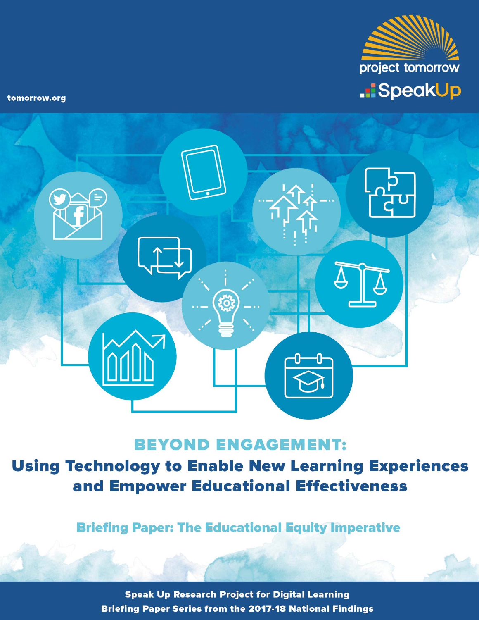

tomorrow.org



## **BEYOND ENGAGEMENT:**

**Using Technology to Enable New Learning Experiences** and Empower Educational Effectiveness

**Briefing Paper: The Educational Equity Imperative** 

**Speak Up Research Project for Digital Learning Briefing Paper Series from the 2017-18 National Findings**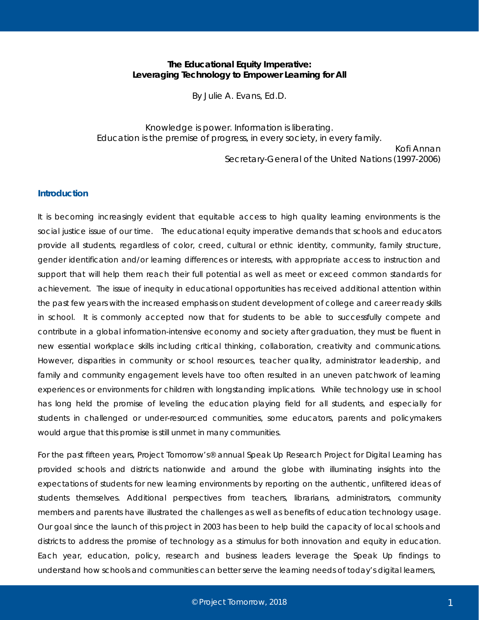#### *The Educational Equity Imperative: Leveraging Technology to Empower Learning for All*

*By Julie A. Evans, Ed.D.* 

*Knowledge is power. Information is liberating. Education is the premise of progress, in every society, in every family.* 

*Kofi Annan Secretary-General of the United Nations (1997-2006)* 

#### **Introduction**

ī

It is becoming increasingly evident that equitable access to high quality learning environments is the social justice issue of our time. The educational equity imperative demands that schools and educators provide all students, regardless of color, creed, cultural or ethnic identity, community, family structure, gender identification and/or learning differences or interests, with appropriate access to instruction and support that will help them reach their full potential as well as meet or exceed common standards for achievement. The issue of inequity in educational opportunities has received additional attention within the past few years with the increased emphasis on student development of college and career ready skills in school. It is commonly accepted now that for students to be able to successfully compete and contribute in a global information-intensive economy and society after graduation, they must be fluent in new essential workplace skills including critical thinking, collaboration, creativity and communications. However, disparities in community or school resources, teacher quality, administrator leadership, and family and community engagement levels have too often resulted in an uneven patchwork of learning experiences or environments for children with longstanding implications. While technology use in school has long held the promise of leveling the education playing field for all students, and especially for students in challenged or under-resourced communities, some educators, parents and policymakers would argue that this promise is still unmet in many communities.

For the past fifteen years, Project Tomorrow's® annual Speak Up Research Project for Digital Learning has provided schools and districts nationwide and around the globe with illuminating insights into the expectations of students for new learning environments by reporting on the authentic, unfiltered ideas of students themselves. Additional perspectives from teachers, librarians, administrators, community members and parents have illustrated the challenges as well as benefits of education technology usage. Our goal since the launch of this project in 2003 has been to help build the capacity of local schools and districts to address the promise of technology as a stimulus for both innovation and equity in education. Each year, education, policy, research and business leaders leverage the Speak Up findings to understand how schools and communities can better serve the learning needs of today's digital learners,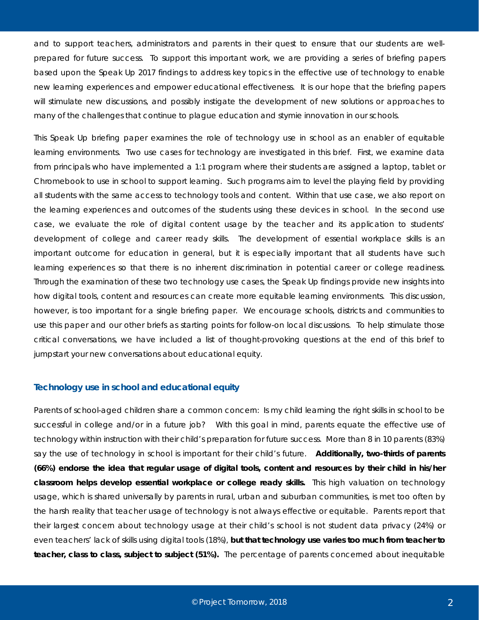and to support teachers, administrators and parents in their quest to ensure that our students are wellprepared for future success. To support this important work, we are providing a series of briefing papers based upon the Speak Up 2017 findings to address key topics in the effective use of technology to enable new learning experiences and empower educational effectiveness. It is our hope that the briefing papers will stimulate new discussions, and possibly instigate the development of new solutions or approaches to many of the challenges that continue to plague education and stymie innovation in our schools.

This Speak Up briefing paper examines the role of technology use in school as an enabler of equitable learning environments. Two use cases for technology are investigated in this brief. First, we examine data from principals who have implemented a 1:1 program where their students are assigned a laptop, tablet or Chromebook to use in school to support learning. Such programs aim to level the playing field by providing all students with the same access to technology tools and content. Within that use case, we also report on the learning experiences and outcomes of the students using these devices in school. In the second use case, we evaluate the role of digital content usage by the teacher and its application to students' development of college and career ready skills. The development of essential workplace skills is an important outcome for education in general, but it is especially important that all students have such learning experiences so that there is no inherent discrimination in potential career or college readiness. Through the examination of these two technology use cases, the Speak Up findings provide new insights into how digital tools, content and resources can create more equitable learning environments. This discussion, however, is too important for a single briefing paper. We encourage schools, districts and communities to use this paper and our other briefs as starting points for follow-on local discussions. To help stimulate those critical conversations, we have included a list of thought-provoking questions at the end of this brief to jumpstart your new conversations about educational equity.

#### **Technology use in school and educational equity**

ī

Parents of school-aged children share a common concern: *Is my child learning the right skills in school to be successful in college and/or in a future job?* With this goal in mind, parents equate the effective use of technology within instruction with their child's preparation for future success. More than 8 in 10 parents (83%) say the use of technology in school is important for their child's future. **Additionally, two-thirds of parents (66%) endorse the idea that regular usage of digital tools, content and resources by their child in his/her classroom helps develop essential workplace or college ready skills.** This high valuation on technology usage, which is shared universally by parents in rural, urban and suburban communities, is met too often by the harsh reality that teacher usage of technology is not always effective or equitable. Parents report that their largest concern about technology usage at their child's school is not student data privacy (24%) or even teachers' lack of skills using digital tools (18%), **but that technology use varies too much from teacher to teacher, class to class, subject to subject (51%).** The percentage of parents concerned about inequitable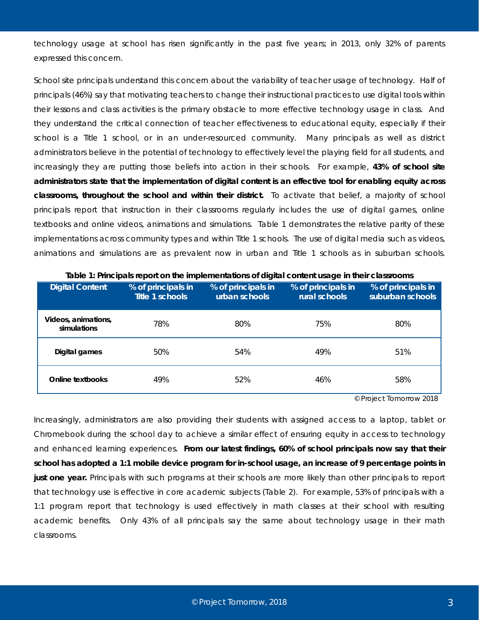technology usage at school has risen significantly in the past five years; in 2013, only 32% of parents expressed this concern.

School site principals understand this concern about the variability of teacher usage of technology. Half of principals (46%) say that motivating teachers to change their instructional practices to use digital tools within their lessons and class activities is the primary obstacle to more effective technology usage in class. And they understand the critical connection of teacher effectiveness to educational equity, especially if their school is a Title 1 school, or in an under-resourced community. Many principals as well as district administrators believe in the potential of technology to effectively level the playing field for all students, and increasingly they are putting those beliefs into action in their schools. For example, **43% of school site administrators state that the implementation of digital content is an effective tool for enabling equity across classrooms, throughout the school and within their district.** To activate that belief, a majority of school principals report that instruction in their classrooms regularly includes the use of digital games, online textbooks and online videos, animations and simulations. Table 1 demonstrates the relative parity of these implementations across community types and within Title 1 schools. The use of digital media such as videos, animations and simulations are as prevalent now in urban and Title 1 schools as in suburban schools.

| <b>Digital Content</b>             | % of principals in<br>Title 1 schools | % of principals in<br>urban schools | % of principals in<br>rural schools | % of principals in<br>suburban schools |
|------------------------------------|---------------------------------------|-------------------------------------|-------------------------------------|----------------------------------------|
| Videos, animations,<br>simulations | 78%                                   | 80%                                 | 75%                                 | 80%                                    |
| Digital games                      | 50%                                   | 54%                                 | 49%                                 | 51%                                    |
| Online textbooks                   | 49%                                   | 52%                                 | 46%                                 | 58%                                    |

**Table 1: Principals report on the implementations of digital content usage in their classrooms** 

© Project Tomorrow 2018

Increasingly, administrators are also providing their students with assigned access to a laptop, tablet or Chromebook during the school day to achieve a similar effect of ensuring equity in access to technology and enhanced learning experiences. **From our latest findings, 60% of school principals now say that their school has adopted a 1:1 mobile device program for in-school usage, an increase of 9 percentage points in just one year.** Principals with such programs at their schools are more likely than other principals to report that technology use is effective in core academic subjects (Table 2). For example, 53% of principals with a 1:1 program report that technology is used effectively in math classes at their school with resulting academic benefits. Only 43% of all principals say the same about technology usage in their math classrooms.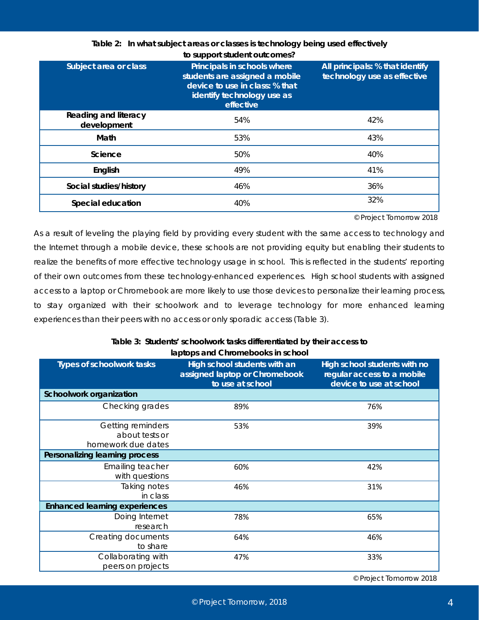| Subject area or class               | Principals in schools where<br>students are assigned a mobile<br>device to use in class: % that<br>identify technology use as<br>effective | All principals: % that identify<br>technology use as effective |
|-------------------------------------|--------------------------------------------------------------------------------------------------------------------------------------------|----------------------------------------------------------------|
| Reading and literacy<br>development | 54%                                                                                                                                        | 42%                                                            |
| Math                                | 53%                                                                                                                                        | 43%                                                            |
| Science                             | 50%                                                                                                                                        | 40%                                                            |
| English                             | 49%                                                                                                                                        | 41%                                                            |
| Social studies/history              | 46%                                                                                                                                        | 36%                                                            |
| Special education                   | 40%                                                                                                                                        | 32%                                                            |

#### **Table 2: In what subject areas or classes is technology being used effectively to support student outcomes?**

© Project Tomorrow 2018

As a result of leveling the playing field by providing every student with the same access to technology and the Internet through a mobile device, these schools are not providing equity but enabling their students to realize the benefits of more effective technology usage in school. This is reflected in the students' reporting of their own outcomes from these technology-enhanced experiences. High school students with assigned access to a laptop or Chromebook are more likely to use those devices to personalize their learning process, to stay organized with their schoolwork and to leverage technology for more enhanced learning experiences than their peers with no access or only sporadic access (Table 3).

#### **Table 3: Students' schoolwork tasks differentiated by their access to laptops and Chromebooks in school**

| <b>Types of schoolwork tasks</b>                          | High school students with an<br>assigned laptop or Chromebook<br>to use at school | High school students with no<br>regular access to a mobile<br>device to use at school |
|-----------------------------------------------------------|-----------------------------------------------------------------------------------|---------------------------------------------------------------------------------------|
| Schoolwork organization                                   |                                                                                   |                                                                                       |
| Checking grades                                           | 89%                                                                               | 76%                                                                                   |
| Getting reminders<br>about tests or<br>homework due dates | 53%                                                                               | 39%                                                                                   |
| <b>Personalizing learning process</b>                     |                                                                                   |                                                                                       |
| Emailing teacher<br>with questions                        | 60%                                                                               | 42%                                                                                   |
| Taking notes<br>in class                                  | 46%                                                                               | 31%                                                                                   |
| <b>Enhanced learning experiences</b>                      |                                                                                   |                                                                                       |
| Doing Internet<br>research                                | 78%                                                                               | 65%                                                                                   |
| Creating documents<br>to share                            | 64%                                                                               | 46%                                                                                   |
| Collaborating with<br>peers on projects                   | 47%                                                                               | 33%                                                                                   |

© Project Tomorrow 2018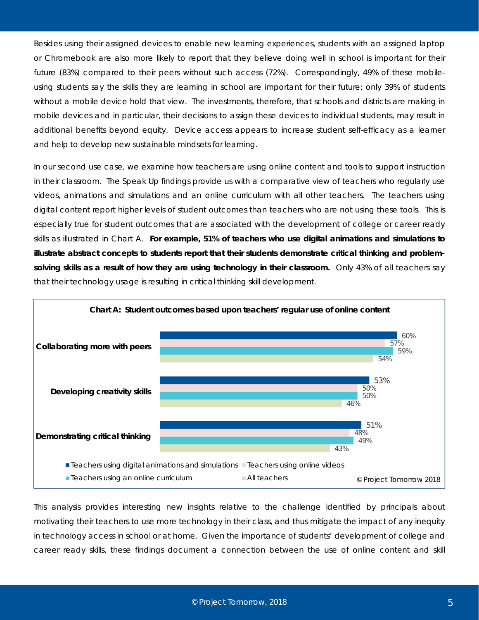Besides using their assigned devices to enable new learning experiences, students with an assigned laptop or Chromebook are also more likely to report that they believe doing well in school is important for their future (83%) compared to their peers without such access (72%). Correspondingly, 49% of these mobileusing students say the skills they are learning in school are important for their future; only 39% of students without a mobile device hold that view. The investments, therefore, that schools and districts are making in mobile devices and in particular, their decisions to assign these devices to individual students, may result in additional benefits beyond equity. Device access appears to increase student self-efficacy as a learner and help to develop new sustainable mindsets for learning.

In our second use case, we examine how teachers are using online content and tools to support instruction in their classroom. The Speak Up findings provide us with a comparative view of teachers who regularly use videos, animations and simulations and an online curriculum with all other teachers. The teachers using digital content report higher levels of student outcomes than teachers who are not using these tools. This is especially true for student outcomes that are associated with the development of college or career ready skills as illustrated in Chart A. **For example, 51% of teachers who use digital animations and simulations to illustrate abstract concepts to students report that their students demonstrate critical thinking and problemsolving skills as a result of how they are using technology in their classroom.** Only 43% of all teachers say that their technology usage is resulting in critical thinking skill development.



This analysis provides interesting new insights relative to the challenge identified by principals about motivating their teachers to use more technology in their class, and thus mitigate the impact of any inequity in technology access in school or at home. Given the importance of students' development of college and career ready skills, these findings document a connection between the use of online content and skill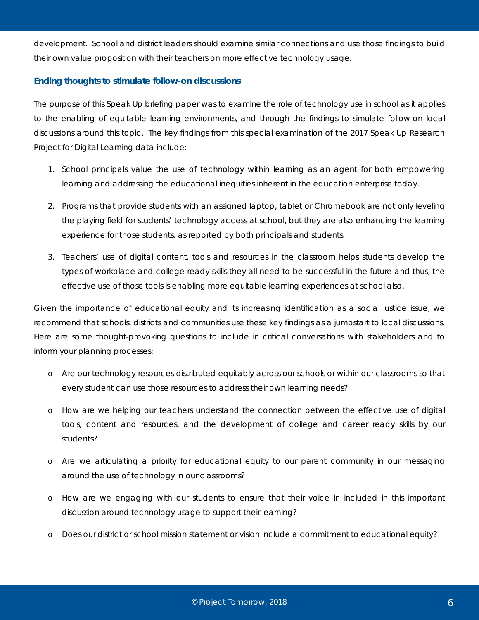development. School and district leaders should examine similar connections and use those findings to build their own value proposition with their teachers on more effective technology usage.

#### **Ending thoughts to stimulate follow-on discussions**

ī

The purpose of this Speak Up briefing paper was to examine the role of technology use in school as it applies to the enabling of equitable learning environments, and through the findings to simulate follow-on local discussions around this topic. The key findings from this special examination of the 2017 Speak Up Research Project for Digital Learning data include:

- 1. School principals value the use of technology within learning as an agent for both empowering learning and addressing the educational inequities inherent in the education enterprise today.
- 2. Programs that provide students with an assigned laptop, tablet or Chromebook are not only leveling the playing field for students' technology access at school, but they are also enhancing the learning experience for those students, as reported by both principals and students.
- 3. Teachers' use of digital content, tools and resources in the classroom helps students develop the types of workplace and college ready skills they all need to be successful in the future and thus, the effective use of those tools is enabling more equitable learning experiences at school also.

Given the importance of educational equity and its increasing identification as a social justice issue, we recommend that schools, districts and communities use these key findings as a jumpstart to local discussions. Here are some thought-provoking questions to include in critical conversations with stakeholders and to inform your planning processes:

- o Are our technology resources distributed equitably across our schools or within our classrooms so that every student can use those resources to address their own learning needs?
- o How are we helping our teachers understand the connection between the effective use of digital tools, content and resources, and the development of college and career ready skills by our students?
- o Are we articulating a priority for educational equity to our parent community in our messaging around the use of technology in our classrooms?
- o How are we engaging with our students to ensure that their voice in included in this important discussion around technology usage to support their learning?
- o Does our district or school mission statement or vision include a commitment to educational equity?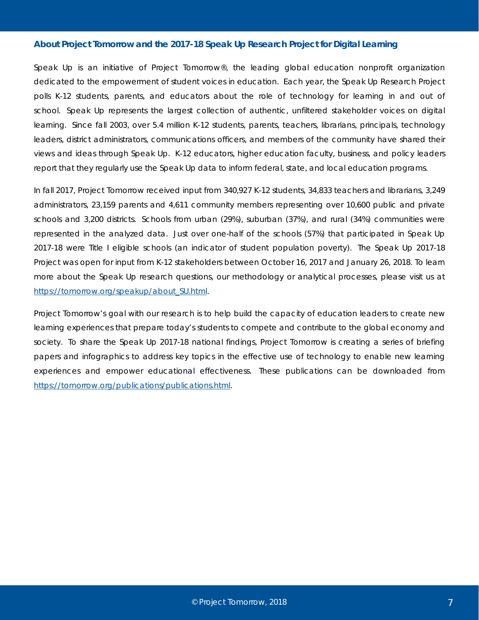#### **About Project Tomorrow and the 2017-18 Speak Up Research Project for Digital Learning**

Speak Up is an initiative of Project Tomorrow®, the leading global education nonprofit organization dedicated to the empowerment of student voices in education. Each year, the Speak Up Research Project polls K-12 students, parents, and educators about the role of technology for learning in and out of school. Speak Up represents the largest collection of authentic, unfiltered stakeholder voices on digital learning. Since fall 2003, over 5.4 million K-12 students, parents, teachers, librarians, principals, technology leaders, district administrators, communications officers, and members of the community have shared their views and ideas through Speak Up. K-12 educators, higher education faculty, business, and policy leaders report that they regularly use the Speak Up data to inform federal, state, and local education programs.

In fall 2017, Project Tomorrow received input from 340,927 K-12 students, 34,833 teachers and librarians, 3,249 administrators, 23,159 parents and 4,611 community members representing over 10,600 public and private schools and 3,200 districts. Schools from urban (29%), suburban (37%), and rural (34%) communities were represented in the analyzed data. Just over one-half of the schools (57%) that participated in Speak Up 2017-18 were Title I eligible schools (an indicator of student population poverty). The Speak Up 2017-18 Project was open for input from K-12 stakeholders between October 16, 2017 and January 26, 2018. To learn more about the Speak Up research questions, our methodology or analytical processes, please visit us at https://tomorrow.org/speakup/about\_SU.html.

Project Tomorrow's goal with our research is to help build the capacity of education leaders to create new learning experiences that prepare today's students to compete and contribute to the global economy and society. To share the Speak Up 2017-18 national findings, Project Tomorrow is creating a series of briefing papers and infographics to address key topics in the effective use of technology to enable new learning experiences and empower educational effectiveness. These publications can be downloaded from https://tomorrow.org/publications/publications.html.